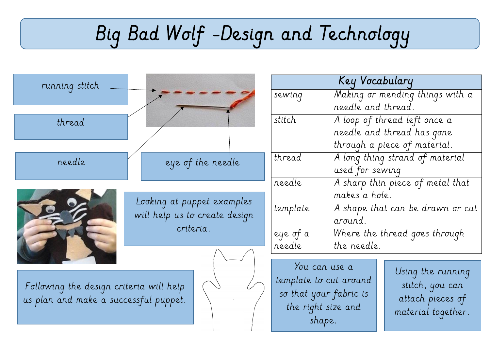## Big Bad Wolf -Design and Technology

| running stitch                                                                   |                                                                          | Key Vocabulary         |                                  |
|----------------------------------------------------------------------------------|--------------------------------------------------------------------------|------------------------|----------------------------------|
|                                                                                  |                                                                          | sewing                 | Making or mending things with a  |
|                                                                                  |                                                                          |                        | needle and thread.               |
| thread                                                                           |                                                                          | stitch                 | A loop of thread left once a     |
|                                                                                  |                                                                          |                        | needle and thread has gone       |
|                                                                                  |                                                                          |                        | through a piece of material.     |
| needle                                                                           | eye of the needle                                                        | thread                 | A long thing strand of material  |
|                                                                                  |                                                                          |                        | used for sewing                  |
|                                                                                  |                                                                          | needle                 | A sharp thin piece of metal that |
|                                                                                  | Looking at puppet examples<br>will help us to create design<br>criteria. |                        | makes a hole.                    |
|                                                                                  |                                                                          | template               | A shape that can be drawn or cut |
|                                                                                  |                                                                          |                        | around.                          |
|                                                                                  |                                                                          | eye of a               | Where the thread goes through    |
|                                                                                  |                                                                          | needle                 | the needle.                      |
|                                                                                  |                                                                          |                        |                                  |
| Following the design criteria will help<br>us plan and make a successful puppet. |                                                                          | You can use a          | Using the running                |
|                                                                                  |                                                                          | template to cut around | stitch, you can                  |
|                                                                                  |                                                                          | so that your fabric is | attach pieces of                 |
|                                                                                  |                                                                          | the right size and     | material together.               |
|                                                                                  |                                                                          | shape.                 |                                  |